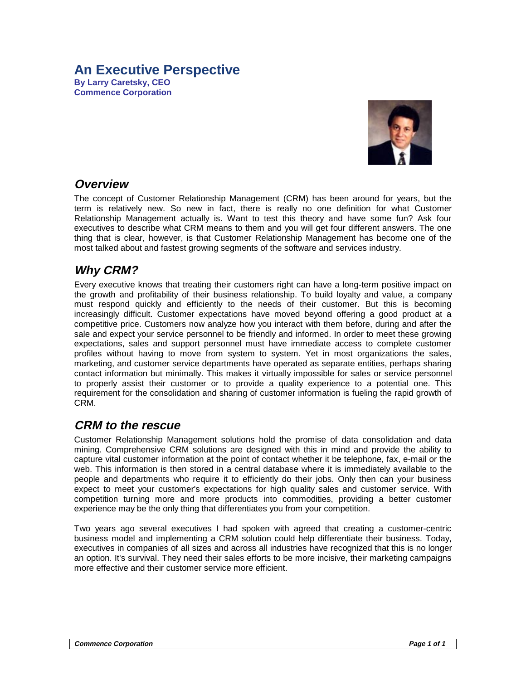#### **An Executive Perspective By Larry Caretsky, CEO Commence Corporation**



#### **Overview**

The concept of Customer Relationship Management (CRM) has been around for years, but the term is relatively new. So new in fact, there is really no one definition for what Customer Relationship Management actually is. Want to test this theory and have some fun? Ask four executives to describe what CRM means to them and you will get four different answers. The one thing that is clear, however, is that Customer Relationship Management has become one of the most talked about and fastest growing segments of the software and services industry.

# **Why CRM?**

Every executive knows that treating their customers right can have a long-term positive impact on the growth and profitability of their business relationship. To build loyalty and value, a company must respond quickly and efficiently to the needs of their customer. But this is becoming increasingly difficult. Customer expectations have moved beyond offering a good product at a competitive price. Customers now analyze how you interact with them before, during and after the sale and expect your service personnel to be friendly and informed. In order to meet these growing expectations, sales and support personnel must have immediate access to complete customer profiles without having to move from system to system. Yet in most organizations the sales, marketing, and customer service departments have operated as separate entities, perhaps sharing contact information but minimally. This makes it virtually impossible for sales or service personnel to properly assist their customer or to provide a quality experience to a potential one. This requirement for the consolidation and sharing of customer information is fueling the rapid growth of CRM.

## **CRM to the rescue**

Customer Relationship Management solutions hold the promise of data consolidation and data mining. Comprehensive CRM solutions are designed with this in mind and provide the ability to capture vital customer information at the point of contact whether it be telephone, fax, e-mail or the web. This information is then stored in a central database where it is immediately available to the people and departments who require it to efficiently do their jobs. Only then can your business expect to meet your customer's expectations for high quality sales and customer service. With competition turning more and more products into commodities, providing a better customer experience may be the only thing that differentiates you from your competition.

Two years ago several executives I had spoken with agreed that creating a customer-centric business model and implementing a CRM solution could help differentiate their business. Today, executives in companies of all sizes and across all industries have recognized that this is no longer an option. It's survival. They need their sales efforts to be more incisive, their marketing campaigns more effective and their customer service more efficient.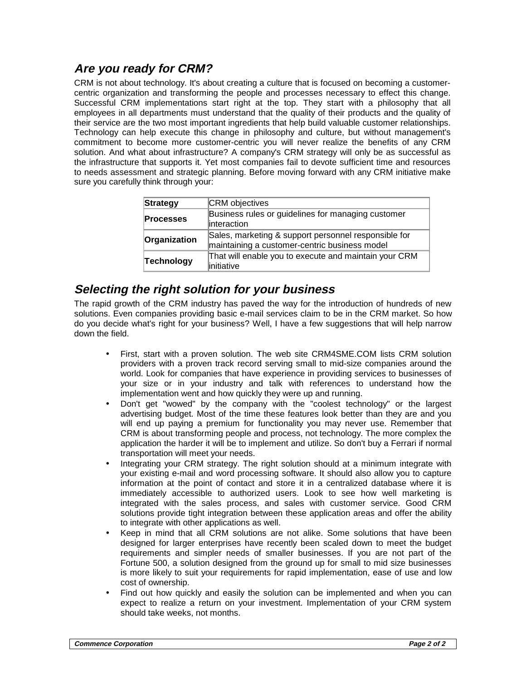# **Are you ready for CRM?**

CRM is not about technology. It's about creating a culture that is focused on becoming a customercentric organization and transforming the people and processes necessary to effect this change. Successful CRM implementations start right at the top. They start with a philosophy that all employees in all departments must understand that the quality of their products and the quality of their service are the two most important ingredients that help build valuable customer relationships. Technology can help execute this change in philosophy and culture, but without management's commitment to become more customer-centric you will never realize the benefits of any CRM solution. And what about infrastructure? A company's CRM strategy will only be as successful as the infrastructure that supports it. Yet most companies fail to devote sufficient time and resources to needs assessment and strategic planning. Before moving forward with any CRM initiative make sure you carefully think through your:

| <b>Strategy</b>  | CRM objectives                                                                                        |
|------------------|-------------------------------------------------------------------------------------------------------|
| <b>Processes</b> | Business rules or guidelines for managing customer<br>interaction                                     |
| Organization     | Sales, marketing & support personnel responsible for<br>maintaining a customer-centric business model |
| Technology       | That will enable you to execute and maintain your CRM<br>initiative                                   |

### **Selecting the right solution for your business**

The rapid growth of the CRM industry has paved the way for the introduction of hundreds of new solutions. Even companies providing basic e-mail services claim to be in the CRM market. So how do you decide what's right for your business? Well, I have a few suggestions that will help narrow down the field.

- First, start with a proven solution. The web site CRM4SME.COM lists CRM solution providers with a proven track record serving small to mid-size companies around the world. Look for companies that have experience in providing services to businesses of your size or in your industry and talk with references to understand how the implementation went and how quickly they were up and running.
- Don't get "wowed" by the company with the "coolest technology" or the largest advertising budget. Most of the time these features look better than they are and you will end up paying a premium for functionality you may never use. Remember that CRM is about transforming people and process, not technology. The more complex the application the harder it will be to implement and utilize. So don't buy a Ferrari if normal transportation will meet your needs.
- Integrating your CRM strategy. The right solution should at a minimum integrate with your existing e-mail and word processing software. It should also allow you to capture information at the point of contact and store it in a centralized database where it is immediately accessible to authorized users. Look to see how well marketing is integrated with the sales process, and sales with customer service. Good CRM solutions provide tight integration between these application areas and offer the ability to integrate with other applications as well.
- Keep in mind that all CRM solutions are not alike. Some solutions that have been designed for larger enterprises have recently been scaled down to meet the budget requirements and simpler needs of smaller businesses. If you are not part of the Fortune 500, a solution designed from the ground up for small to mid size businesses is more likely to suit your requirements for rapid implementation, ease of use and low cost of ownership.
- Find out how quickly and easily the solution can be implemented and when you can expect to realize a return on your investment. Implementation of your CRM system should take weeks, not months.